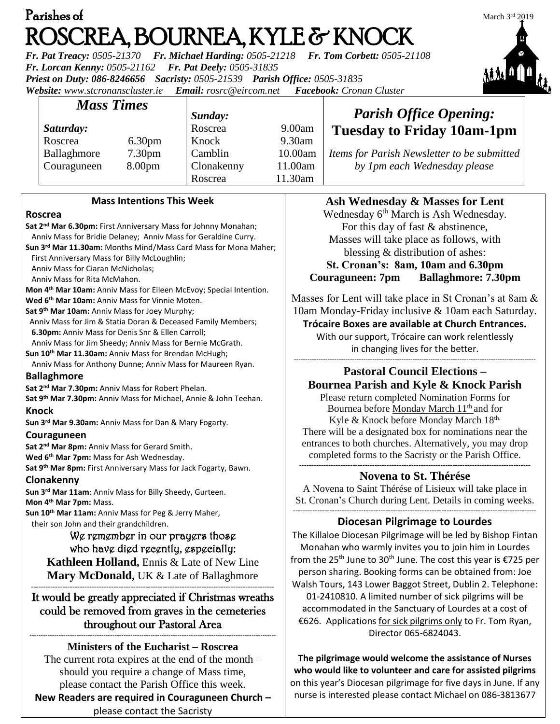| Parishes of                                                                                                                                                                                                                                                                        | March $3rd 2019$ |
|------------------------------------------------------------------------------------------------------------------------------------------------------------------------------------------------------------------------------------------------------------------------------------|------------------|
| ROSCREA, BOURNEA, KYLE & KNOCK                                                                                                                                                                                                                                                     |                  |
| Fr. Pat Treacy: 0505-21370 Fr. Michael Harding: 0505-21218 Fr. Tom Corbett: 0505-21108<br>$E_{\rm m}$ , $I_{\rm m}$ , $I_{\rm m}$ , $I_{\rm m}$ , $\Delta E \Delta E \Delta T$ , $I_{\rm m}$ , $I_{\rm m}$ , $I_{\rm m}$ , $I_{\rm m}$ , $\Delta E \Delta T$ , $\Delta T \Delta T$ |                  |

*Fr. Lorcan Kenny: 0505-21162 Fr. Pat Deely: 0505-31835 Priest on Duty: 086-8246656 Sacristy: 0505-21539 Parish Office: 0505-31835 Website: [www.stcronanscluster.ie](http://www.stcronanscluster.ie/) Email: [rosrc@eircom.net](mailto:rosrc@eircom.net) Facebook: Cronan Cluster* 

*Mass Times Saturday:* Roscrea 6.30pm Ballaghmore 7.30pm Couraguneen 8.00pm *Sunday:* Roscrea 9.00am Knock 9.30am Camblin 10.00am Clonakenny 11.00am Roscrea 11.30am

#### **Mass Intentions This Week**

#### **Roscrea**

**Sat 2nd Mar 6.30pm:** First Anniversary Mass for Johnny Monahan; Anniv Mass for Bridie Delaney; Anniv Mass for Geraldine Curry. **Sun 3rd Mar 11.30am:** Months Mind/Mass Card Mass for Mona Maher; First Anniversary Mass for Billy McLoughlin; Anniv Mass for Ciaran McNicholas; Anniv Mass for Rita McMahon. **Mon 4th Mar 10am:** Anniv Mass for Eileen McEvoy; Special Intention. **Wed 6th Mar 10am:** Anniv Mass for Vinnie Moten. **Sat 9th Mar 10am:** Anniv Mass for Joey Murphy; Anniv Mass for Jim & Statia Doran & Deceased Family Members; **6.30pm:** Anniv Mass for Denis Snr & Ellen Carroll; Anniv Mass for Jim Sheedy; Anniv Mass for Bernie McGrath. **Sun 10th Mar 11.30am:** Anniv Mass for Brendan McHugh; Anniv Mass for Anthony Dunne; Anniv Mass for Maureen Ryan. **Ballaghmore Sat 2nd Mar 7.30pm:** Anniv Mass for Robert Phelan. **Sat 9 th Mar 7.30pm:** Anniv Mass for Michael, Annie & John Teehan. **Knock Sun 3rd Mar 9.30am:** Anniv Mass for Dan & Mary Fogarty. **Couraguneen Sat 2nd Mar 8pm:** Anniv Mass for Gerard Smith. **Wed 6th Mar 7pm:** Mass for Ash Wednesday. **Sat 9th Mar 8pm:** First Anniversary Mass for Jack Fogarty, Bawn. **Clonakenny Sun 3rd Mar 11am**: Anniv Mass for Billy Sheedy, Gurteen. **Mon 4th Mar 7pm:** Mass. **Sun 10th Mar 11am:** Anniv Mass for Peg & Jerry Maher, their son John and their grandchildren. We remember in our prayers those who have died recently, especially: **Kathleen Holland,** Ennis & Late of New Line **Mary McDonald**, UK & Late of Ballaghmore **----------------------------------------------------------------------------------------------------** It would be greatly appreciated if Christmas wreaths could be removed from graves in the cemeteries throughout our Pastoral Area

**Ministers of the Eucharist – Roscrea** The current rota expires at the end of the month – should you require a change of Mass time, please contact the Parish Office this week. **New Readers are required in Couraguneen Church –** please contact the Sacristy

**--------------------------------------------------------------------------------------------------------------**

## *Parish Office Opening:* **Tuesday to Friday 10am-1pm**

*Items for Parish Newsletter to be submitted by 1pm each Wednesday please*

# **Ash Wednesday & Masses for Lent**

Wednesday 6<sup>th</sup> March is Ash Wednesday. For this day of fast & abstinence, Masses will take place as follows, with blessing & distribution of ashes:

#### **St. Cronan's: 8am, 10am and 6.30pm Couraguneen: 7pm Ballaghmore: 7.30pm**

Masses for Lent will take place in St Cronan's at 8am & 10am Monday-Friday inclusive & 10am each Saturday.

### **Trócaire Boxes are available at Church Entrances.**

With our support, Trócaire can work relentlessly in changing lives for the better.

#### ------------------------------------------------------------------------------------------------------------ **Pastoral Council Elections – Bournea Parish and Kyle & Knock Parish** Please return completed Nomination Forms for Bournea before Monday March 11<sup>th</sup> and for

Kyle & Knock before Monday March 18<sup>th.</sup> There will be a designated box for nominations near the entrances to both churches. Alternatively, you may drop completed forms to the Sacristy or the Parish Office. **-----------------------------------------------------------------------------------------------**

### **Novena to St. Thérése**

A Novena to Saint Thérése of Lisieux will take place in St. Cronan's Church during Lent. Details in coming weeks. **----------------------------------------------------------------------------------------------------**

### **Diocesan Pilgrimage to Lourdes**

The Killaloe Diocesan Pilgrimage will be led by Bishop Fintan Monahan who warmly invites you to join him in Lourdes from the 25<sup>th</sup> June to 30<sup>th</sup> June. The cost this year is  $\epsilon$ 725 per person sharing. Booking forms can be obtained from: Joe Walsh Tours, 143 Lower Baggot Street, Dublin 2. Telephone: 01-2410810. A limited number of sick pilgrims will be accommodated in the Sanctuary of Lourdes at a cost of €626. Applications for sick pilgrims only to Fr. Tom Ryan, Director [065-6824043.](callto:(065)%206824043)

**The pilgrimage would welcome the assistance of Nurses who would like to volunteer and care for assisted pilgrims** on this year's Diocesan pilgrimage for five days in June. If any nurse is interested please contact Michael on 086-3813677